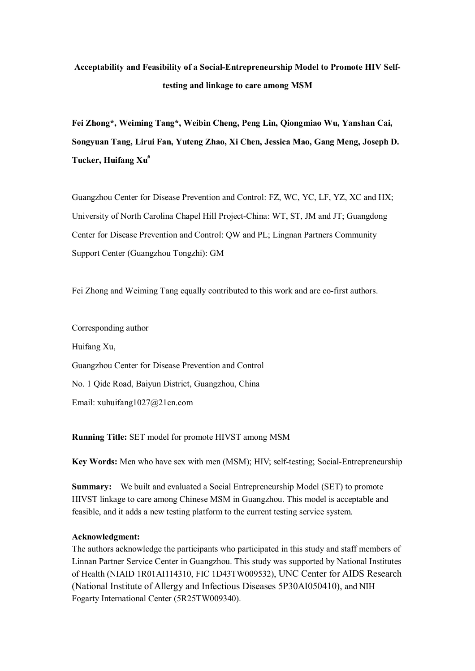# **Acceptability and Feasibility of a Social-Entrepreneurship Model to Promote HIV Selftesting and linkage to care among MSM**

**Fei Zhong\*, Weiming Tang\*, Weibin Cheng, Peng Lin, Qiongmiao Wu, Yanshan Cai, Songyuan Tang, Lirui Fan, Yuteng Zhao, Xi Chen, Jessica Mao, Gang Meng, Joseph D. Tucker, Huifang Xu#**

Guangzhou Center for Disease Prevention and Control: FZ, WC, YC, LF, YZ, XC and HX; University of North Carolina Chapel Hill Project-China: WT, ST, JM and JT; Guangdong Center for Disease Prevention and Control: QW and PL; Lingnan Partners Community Support Center (Guangzhou Tongzhi): GM

Fei Zhong and Weiming Tang equally contributed to this work and are co-first authors.

Corresponding author Huifang Xu, Guangzhou Center for Disease Prevention and Control No. 1 Qide Road, Baiyun District, Guangzhou, China Email: xuhuifang1027@21cn.com

**Running Title:** SET model for promote HIVST among MSM

**Key Words:** Men who have sex with men (MSM); HIV; self-testing; Social-Entrepreneurship

**Summary:** We built and evaluated a Social Entrepreneurship Model (SET) to promote HIVST linkage to care among Chinese MSM in Guangzhou. This model is acceptable and feasible, and it adds a new testing platform to the current testing service system.

## **Acknowledgment:**

The authors acknowledge the participants who participated in this study and staff members of Linnan Partner Service Center in Guangzhou. This study was supported by National Institutes of Health (NIAID 1R01AI114310, FIC 1D43TW009532), UNC Center for AIDS Research (National Institute of Allergy and Infectious Diseases 5P30AI050410), and NIH Fogarty International Center (5R25TW009340).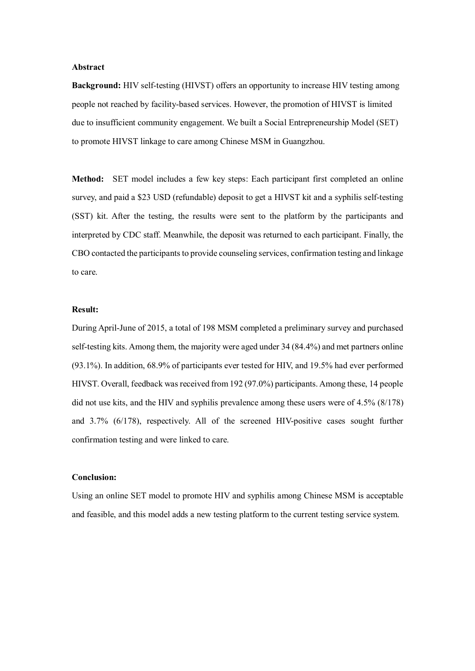## **Abstract**

**Background:** HIV self-testing (HIVST) offers an opportunity to increase HIV testing among people not reached by facility-based services. However, the promotion of HIVST is limited due to insufficient community engagement. We built a Social Entrepreneurship Model (SET) to promote HIVST linkage to care among Chinese MSM in Guangzhou.

**Method:** SET model includes a few key steps: Each participant first completed an online survey, and paid a \$23 USD (refundable) deposit to get a HIVST kit and a syphilis self-testing (SST) kit. After the testing, the results were sent to the platform by the participants and interpreted by CDC staff. Meanwhile, the deposit was returned to each participant. Finally, the CBO contacted the participants to provide counseling services, confirmation testing and linkage to care.

# **Result:**

During April-June of 2015, a total of 198 MSM completed a preliminary survey and purchased self-testing kits. Among them, the majority were aged under 34 (84.4%) and met partners online (93.1%). In addition, 68.9% of participants ever tested for HIV, and 19.5% had ever performed HIVST. Overall, feedback was received from 192 (97.0%) participants. Among these, 14 people did not use kits, and the HIV and syphilis prevalence among these users were of 4.5% (8/178) and 3.7% (6/178), respectively. All of the screened HIV-positive cases sought further confirmation testing and were linked to care.

# **Conclusion:**

Using an online SET model to promote HIV and syphilis among Chinese MSM is acceptable and feasible, and this model adds a new testing platform to the current testing service system.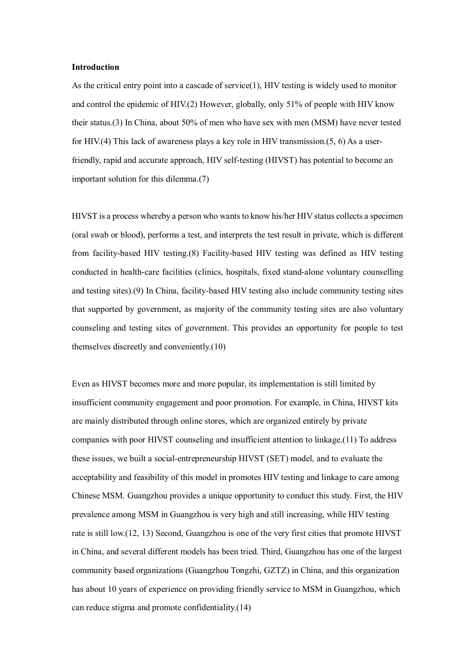#### **Introduction**

As the critical entry point into a cascade of service(1), HIV testing is widely used to monitor and control the epidemic of HIV.(2) However, globally, only 51% of people with HIV know their status.(3) In China, about 50% of men who have sex with men (MSM) have never tested for HIV.(4) This lack of awareness plays a key role in HIV transmission.(5, 6) As a userfriendly, rapid and accurate approach, HIV self-testing (HIVST) has potential to become an important solution for this dilemma.(7)

HIVST is a process whereby a person who wants to know his/her HIV status collects a specimen (oral swab or blood), performs a test, and interprets the test result in private, which is different from facility-based HIV testing.(8) Facility-based HIV testing was defined as HIV testing conducted in health-care facilities (clinics, hospitals, fixed stand-alone voluntary counselling and testing sites).(9) In China, facility-based HIV testing also include community testing sites that supported by government, as majority of the community testing sites are also voluntary counseling and testing sites of government. This provides an opportunity for people to test themselves discreetly and conveniently.(10)

Even as HIVST becomes more and more popular, its implementation is still limited by insufficient community engagement and poor promotion. For example, in China, HIVST kits are mainly distributed through online stores, which are organized entirely by private companies with poor HIVST counseling and insufficient attention to linkage.(11) To address these issues, we built a social-entrepreneurship HIVST (SET) model, and to evaluate the acceptability and feasibility of this model in promotes HIV testing and linkage to care among Chinese MSM. Guangzhou provides a unique opportunity to conduct this study. First, the HIV prevalence among MSM in Guangzhou is very high and still increasing, while HIV testing rate is still low.(12, 13) Second, Guangzhou is one of the very first cities that promote HIVST in China, and several different models has been tried. Third, Guangzhou has one of the largest community based organizations (Guangzhou Tongzhi, GZTZ) in China, and this organization has about 10 years of experience on providing friendly service to MSM in Guangzhou, which can reduce stigma and promote confidentiality.(14)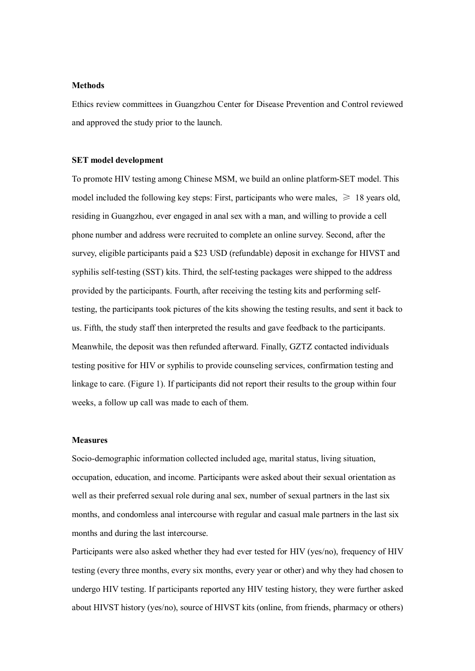## **Methods**

Ethics review committees in Guangzhou Center for Disease Prevention and Control reviewed and approved the study prior to the launch.

#### **SET model development**

To promote HIV testing among Chinese MSM, we build an online platform-SET model. This model included the following key steps: First, participants who were males,  $\geq 18$  years old, residing in Guangzhou, ever engaged in anal sex with a man, and willing to provide a cell phone number and address were recruited to complete an online survey. Second, after the survey, eligible participants paid a \$23 USD (refundable) deposit in exchange for HIVST and syphilis self-testing (SST) kits. Third, the self-testing packages were shipped to the address provided by the participants. Fourth, after receiving the testing kits and performing selftesting, the participants took pictures of the kits showing the testing results, and sent it back to us. Fifth, the study staff then interpreted the results and gave feedback to the participants. Meanwhile, the deposit was then refunded afterward. Finally, GZTZ contacted individuals testing positive for HIV or syphilis to provide counseling services, confirmation testing and linkage to care. (Figure 1). If participants did not report their results to the group within four weeks, a follow up call was made to each of them.

# **Measures**

Socio-demographic information collected included age, marital status, living situation, occupation, education, and income. Participants were asked about their sexual orientation as well as their preferred sexual role during anal sex, number of sexual partners in the last six months, and condomless anal intercourse with regular and casual male partners in the last six months and during the last intercourse.

Participants were also asked whether they had ever tested for HIV (yes/no), frequency of HIV testing (every three months, every six months, every year or other) and why they had chosen to undergo HIV testing. If participants reported any HIV testing history, they were further asked about HIVST history (yes/no), source of HIVST kits (online, from friends, pharmacy or others)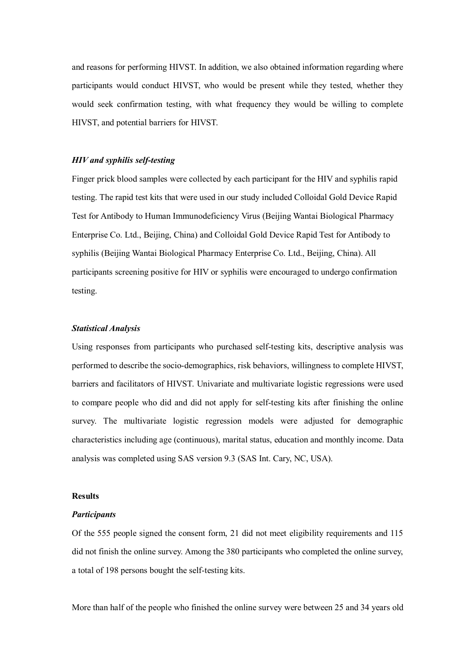and reasons for performing HIVST. In addition, we also obtained information regarding where participants would conduct HIVST, who would be present while they tested, whether they would seek confirmation testing, with what frequency they would be willing to complete HIVST, and potential barriers for HIVST.

## *HIV and syphilis self-testing*

Finger prick blood samples were collected by each participant for the HIV and syphilis rapid testing. The rapid test kits that were used in our study included Colloidal Gold Device Rapid Test for Antibody to Human Immunodeficiency Virus (Beijing Wantai Biological Pharmacy Enterprise Co. Ltd., Beijing, China) and Colloidal Gold Device Rapid Test for Antibody to syphilis (Beijing Wantai Biological Pharmacy Enterprise Co. Ltd., Beijing, China). All participants screening positive for HIV or syphilis were encouraged to undergo confirmation testing.

## *Statistical Analysis*

Using responses from participants who purchased self-testing kits, descriptive analysis was performed to describe the socio-demographics, risk behaviors, willingness to complete HIVST, barriers and facilitators of HIVST. Univariate and multivariate logistic regressions were used to compare people who did and did not apply for self-testing kits after finishing the online survey. The multivariate logistic regression models were adjusted for demographic characteristics including age (continuous), marital status, education and monthly income. Data analysis was completed using SAS version 9.3 (SAS Int. Cary, NC, USA).

## **Results**

### *Participants*

Of the 555 people signed the consent form, 21 did not meet eligibility requirements and 115 did not finish the online survey. Among the 380 participants who completed the online survey, a total of 198 persons bought the self-testing kits.

More than half of the people who finished the online survey were between 25 and 34 years old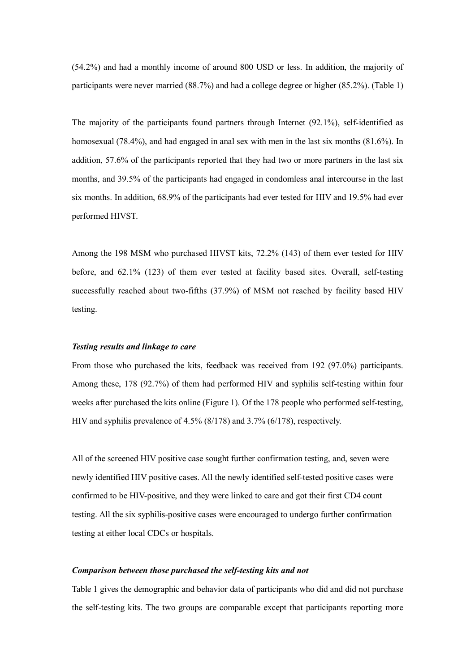(54.2%) and had a monthly income of around 800 USD or less. In addition, the majority of participants were never married (88.7%) and had a college degree or higher (85.2%). (Table 1)

The majority of the participants found partners through Internet (92.1%), self-identified as homosexual (78.4%), and had engaged in anal sex with men in the last six months (81.6%). In addition, 57.6% of the participants reported that they had two or more partners in the last six months, and 39.5% of the participants had engaged in condomless anal intercourse in the last six months. In addition, 68.9% of the participants had ever tested for HIV and 19.5% had ever performed HIVST.

Among the 198 MSM who purchased HIVST kits, 72.2% (143) of them ever tested for HIV before, and 62.1% (123) of them ever tested at facility based sites. Overall, self-testing successfully reached about two-fifths (37.9%) of MSM not reached by facility based HIV testing.

#### *Testing results and linkage to care*

From those who purchased the kits, feedback was received from 192 (97.0%) participants. Among these, 178 (92.7%) of them had performed HIV and syphilis self-testing within four weeks after purchased the kits online (Figure 1). Of the 178 people who performed self-testing, HIV and syphilis prevalence of 4.5% (8/178) and 3.7% (6/178), respectively.

All of the screened HIV positive case sought further confirmation testing, and, seven were newly identified HIV positive cases. All the newly identified self-tested positive cases were confirmed to be HIV-positive, and they were linked to care and got their first CD4 count testing. All the six syphilis-positive cases were encouraged to undergo further confirmation testing at either local CDCs or hospitals.

## *Comparison between those purchased the self-testing kits and not*

Table 1 gives the demographic and behavior data of participants who did and did not purchase the self-testing kits. The two groups are comparable except that participants reporting more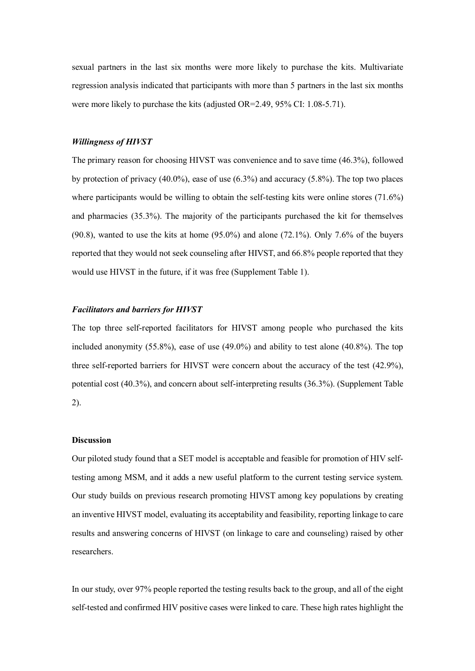sexual partners in the last six months were more likely to purchase the kits. Multivariate regression analysis indicated that participants with more than 5 partners in the last six months were more likely to purchase the kits (adjusted OR=2.49, 95% CI: 1.08-5.71).

## *Willingness of HIVST*

The primary reason for choosing HIVST was convenience and to save time (46.3%), followed by protection of privacy (40.0%), ease of use (6.3%) and accuracy (5.8%). The top two places where participants would be willing to obtain the self-testing kits were online stores (71.6%) and pharmacies (35.3%). The majority of the participants purchased the kit for themselves  $(90.8)$ , wanted to use the kits at home  $(95.0\%)$  and alone  $(72.1\%)$ . Only 7.6% of the buyers reported that they would not seek counseling after HIVST, and 66.8% people reported that they would use HIVST in the future, if it was free (Supplement Table 1).

## *Facilitators and barriers for HIVST*

The top three self-reported facilitators for HIVST among people who purchased the kits included anonymity  $(55.8\%)$ , ease of use  $(49.0\%)$  and ability to test alone  $(40.8\%)$ . The top three self-reported barriers for HIVST were concern about the accuracy of the test (42.9%), potential cost (40.3%), and concern about self-interpreting results (36.3%). (Supplement Table 2).

## **Discussion**

Our piloted study found that a SET model is acceptable and feasible for promotion of HIV selftesting among MSM, and it adds a new useful platform to the current testing service system. Our study builds on previous research promoting HIVST among key populations by creating an inventive HIVST model, evaluating its acceptability and feasibility, reporting linkage to care results and answering concerns of HIVST (on linkage to care and counseling) raised by other researchers.

In our study, over 97% people reported the testing results back to the group, and all of the eight self-tested and confirmed HIV positive cases were linked to care. These high rates highlight the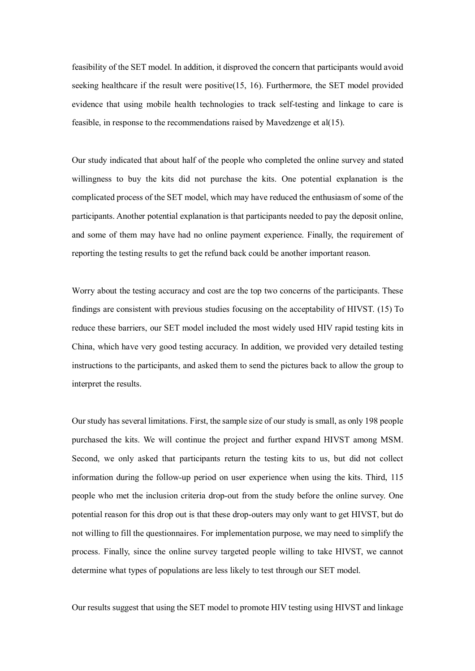feasibility of the SET model. In addition, it disproved the concern that participants would avoid seeking healthcare if the result were positive(15, 16). Furthermore, the SET model provided evidence that using mobile health technologies to track self-testing and linkage to care is feasible, in response to the recommendations raised by Mavedzenge et al(15).

Our study indicated that about half of the people who completed the online survey and stated willingness to buy the kits did not purchase the kits. One potential explanation is the complicated process of the SET model, which may have reduced the enthusiasm of some of the participants. Another potential explanation is that participants needed to pay the deposit online, and some of them may have had no online payment experience. Finally, the requirement of reporting the testing results to get the refund back could be another important reason.

Worry about the testing accuracy and cost are the top two concerns of the participants. These findings are consistent with previous studies focusing on the acceptability of HIVST. (15) To reduce these barriers, our SET model included the most widely used HIV rapid testing kits in China, which have very good testing accuracy. In addition, we provided very detailed testing instructions to the participants, and asked them to send the pictures back to allow the group to interpret the results.

Our study has several limitations. First, the sample size of our study is small, as only 198 people purchased the kits. We will continue the project and further expand HIVST among MSM. Second, we only asked that participants return the testing kits to us, but did not collect information during the follow-up period on user experience when using the kits. Third, 115 people who met the inclusion criteria drop-out from the study before the online survey. One potential reason for this drop out is that these drop-outers may only want to get HIVST, but do not willing to fill the questionnaires. For implementation purpose, we may need to simplify the process. Finally, since the online survey targeted people willing to take HIVST, we cannot determine what types of populations are less likely to test through our SET model.

Our results suggest that using the SET model to promote HIV testing using HIVST and linkage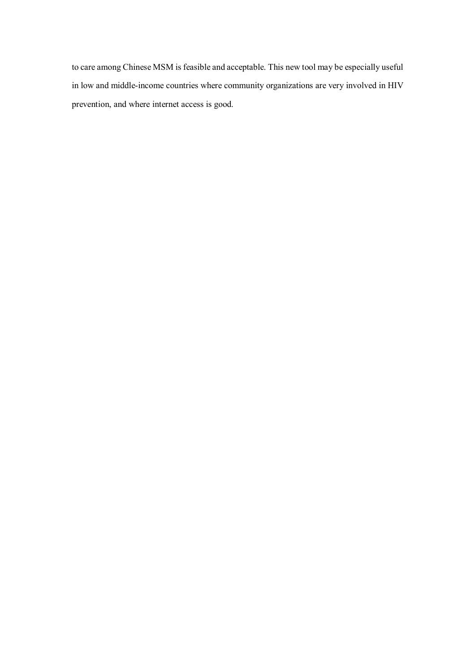to care among Chinese MSM is feasible and acceptable. This new tool may be especially useful in low and middle-income countries where community organizations are very involved in HIV prevention, and where internet access is good.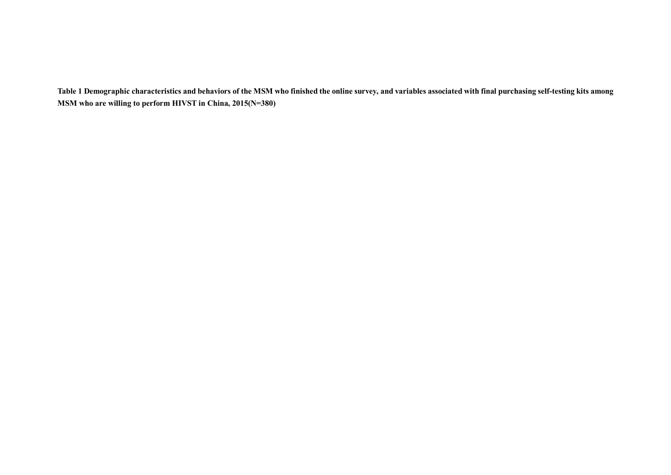**Table 1 Demographic characteristics and behaviors of the MSM who finished the online survey, and variables associated with final purchasing self-testing kits among MSM who are willing to perform HIVST in China, 2015(N=380)**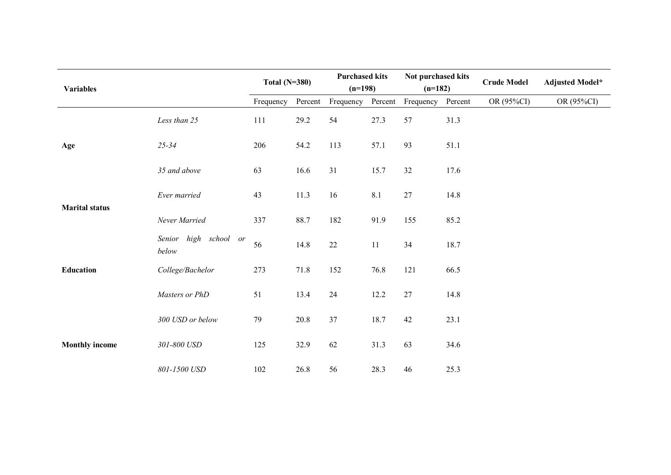| <b>Variables</b>      |                                | Total $(N=380)$ |         | <b>Purchased kits</b><br>$(n=198)$ |         | Not purchased kits<br>$(n=182)$ |         | <b>Crude Model</b> | <b>Adjusted Model*</b> |
|-----------------------|--------------------------------|-----------------|---------|------------------------------------|---------|---------------------------------|---------|--------------------|------------------------|
|                       |                                | Frequency       | Percent | Frequency                          | Percent | Frequency                       | Percent | OR (95%CI)         | OR (95%CI)             |
| Age                   | Less than 25                   | 111             | 29.2    | 54                                 | 27.3    | 57                              | 31.3    |                    |                        |
|                       | $25 - 34$                      | 206             | 54.2    | 113                                | 57.1    | 93                              | 51.1    |                    |                        |
|                       | 35 and above                   | 63              | 16.6    | 31                                 | 15.7    | 32                              | 17.6    |                    |                        |
| <b>Marital status</b> | Ever married                   | 43              | 11.3    | 16                                 | 8.1     | $27\,$                          | 14.8    |                    |                        |
|                       | Never Married                  | 337             | 88.7    | 182                                | 91.9    | 155                             | 85.2    |                    |                        |
| <b>Education</b>      | Senior high school or<br>below | 56              | 14.8    | $22\,$                             | 11      | 34                              | 18.7    |                    |                        |
|                       | College/Bachelor               | 273             | 71.8    | 152                                | 76.8    | 121                             | 66.5    |                    |                        |
|                       | Masters or PhD                 | 51              | 13.4    | 24                                 | 12.2    | 27                              | 14.8    |                    |                        |
| <b>Monthly income</b> | 300 USD or below               | 79              | 20.8    | 37                                 | 18.7    | $42\,$                          | 23.1    |                    |                        |
|                       | 301-800 USD                    | 125             | 32.9    | 62                                 | 31.3    | 63                              | 34.6    |                    |                        |
|                       | 801-1500 USD                   | 102             | 26.8    | 56                                 | 28.3    | 46                              | 25.3    |                    |                        |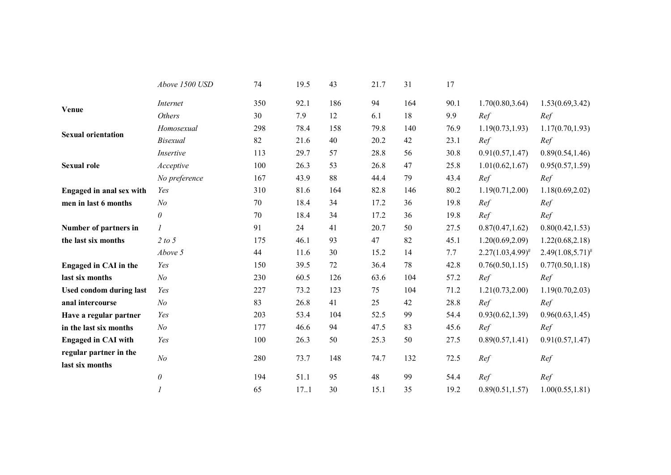|                                           | Above 1500 USD   | 74  | 19.5 | 43  | 21.7 | 31  | 17   |                         |                       |
|-------------------------------------------|------------------|-----|------|-----|------|-----|------|-------------------------|-----------------------|
| Venue                                     | Internet         | 350 | 92.1 | 186 | 94   | 164 | 90.1 | 1.70(0.80, 3.64)        | 1.53(0.69, 3.42)      |
|                                           | <b>Others</b>    | 30  | 7.9  | 12  | 6.1  | 18  | 9.9  | Ref                     | Ref                   |
| <b>Sexual orientation</b>                 | Homosexual       | 298 | 78.4 | 158 | 79.8 | 140 | 76.9 | 1.19(0.73, 1.93)        | 1.17(0.70, 1.93)      |
|                                           | <b>Bisexual</b>  | 82  | 21.6 | 40  | 20.2 | 42  | 23.1 | Ref                     | Ref                   |
|                                           | Insertive        | 113 | 29.7 | 57  | 28.8 | 56  | 30.8 | 0.91(0.57, 1.47)        | 0.89(0.54, 1.46)      |
| <b>Sexual role</b>                        | Acceptive        | 100 | 26.3 | 53  | 26.8 | 47  | 25.8 | 1.01(0.62, 1.67)        | 0.95(0.57, 1.59)      |
|                                           | No preference    | 167 | 43.9 | 88  | 44.4 | 79  | 43.4 | Ref                     | Ref                   |
| <b>Engaged in anal sex with</b>           | Yes              | 310 | 81.6 | 164 | 82.8 | 146 | 80.2 | 1.19(0.71, 2.00)        | 1.18(0.69, 2.02)      |
| men in last 6 months                      | N <sub>o</sub>   | 70  | 18.4 | 34  | 17.2 | 36  | 19.8 | Ref                     | Ref                   |
|                                           | $\theta$         | 70  | 18.4 | 34  | 17.2 | 36  | 19.8 | Ref                     | Ref                   |
| Number of partners in                     | $\boldsymbol{l}$ | 91  | 24   | 41  | 20.7 | 50  | 27.5 | 0.87(0.47, 1.62)        | 0.80(0.42, 1.53)      |
| the last six months                       | 2 to 5           | 175 | 46.1 | 93  | 47   | 82  | 45.1 | 1.20(0.69, 2.09)        | 1.22(0.68, 2.18)      |
|                                           | Above 5          | 44  | 11.6 | 30  | 15.2 | 14  | 7.7  | $2.27(1.03, 4.99)^{\#}$ | $2.49(1.08,5.71)^{*}$ |
| <b>Engaged in CAI in the</b>              | Yes              | 150 | 39.5 | 72  | 36.4 | 78  | 42.8 | 0.76(0.50, 1.15)        | 0.77(0.50, 1.18)      |
| last six months                           | N <sub>o</sub>   | 230 | 60.5 | 126 | 63.6 | 104 | 57.2 | Ref                     | Ref                   |
| <b>Used condom during last</b>            | Yes              | 227 | 73.2 | 123 | 75   | 104 | 71.2 | 1.21(0.73, 2.00)        | 1.19(0.70, 2.03)      |
| anal intercourse                          | N <sub>o</sub>   | 83  | 26.8 | 41  | 25   | 42  | 28.8 | Ref                     | Ref                   |
| Have a regular partner                    | Yes              | 203 | 53.4 | 104 | 52.5 | 99  | 54.4 | 0.93(0.62, 1.39)        | 0.96(0.63, 1.45)      |
| in the last six months                    | N <sub>o</sub>   | 177 | 46.6 | 94  | 47.5 | 83  | 45.6 | Ref                     | Ref                   |
| <b>Engaged in CAI with</b>                | Yes              | 100 | 26.3 | 50  | 25.3 | 50  | 27.5 | 0.89(0.57, 1.41)        | 0.91(0.57, 1.47)      |
| regular partner in the<br>last six months | N <sub>o</sub>   | 280 | 73.7 | 148 | 74.7 | 132 | 72.5 | Ref                     | Ref                   |
|                                           | $\theta$         | 194 | 51.1 | 95  | 48   | 99  | 54.4 | Ref                     | Ref                   |
|                                           | $\mathfrak{1}$   | 65  | 17.1 | 30  | 15.1 | 35  | 19.2 | 0.89(0.51, 1.57)        | 1.00(0.55, 1.81)      |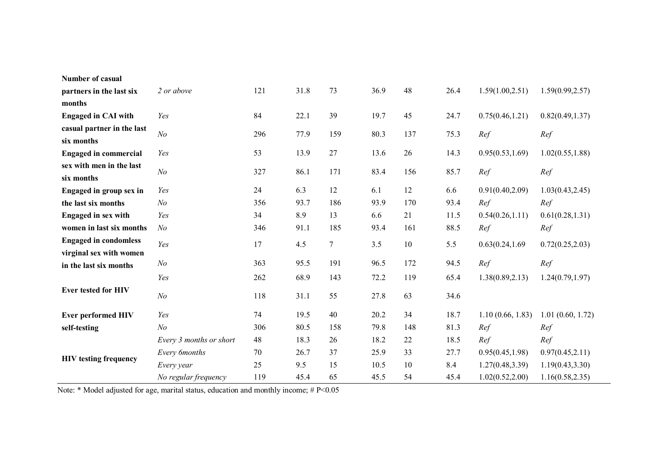| <b>Number of casual</b>      |                         |     |      |        |      |     |      |                  |                  |
|------------------------------|-------------------------|-----|------|--------|------|-----|------|------------------|------------------|
| partners in the last six     | 2 or above              | 121 | 31.8 | 73     | 36.9 | 48  | 26.4 | 1.59(1.00, 2.51) | 1.59(0.99, 2.57) |
| months                       |                         |     |      |        |      |     |      |                  |                  |
| <b>Engaged in CAI with</b>   | Yes                     | 84  | 22.1 | 39     | 19.7 | 45  | 24.7 | 0.75(0.46, 1.21) | 0.82(0.49, 1.37) |
| casual partner in the last   | N <sub>o</sub>          | 296 | 77.9 | 159    | 80.3 | 137 | 75.3 | Ref              | Ref              |
| six months                   |                         |     |      |        |      |     |      |                  |                  |
| <b>Engaged in commercial</b> | Yes                     | 53  | 13.9 | 27     | 13.6 | 26  | 14.3 | 0.95(0.53, 1.69) | 1.02(0.55, 1.88) |
| sex with men in the last     | $\mathcal{N}o$          | 327 | 86.1 | 171    | 83.4 | 156 | 85.7 | Ref              | Ref              |
| six months                   |                         |     |      |        |      |     |      |                  |                  |
| Engaged in group sex in      | Yes                     | 24  | 6.3  | 12     | 6.1  | 12  | 6.6  | 0.91(0.40, 2.09) | 1.03(0.43, 2.45) |
| the last six months          | N <sub>o</sub>          | 356 | 93.7 | 186    | 93.9 | 170 | 93.4 | Ref              | Ref              |
| <b>Engaged in sex with</b>   | Yes                     | 34  | 8.9  | 13     | 6.6  | 21  | 11.5 | 0.54(0.26, 1.11) | 0.61(0.28, 1.31) |
| women in last six months     | N <sub>o</sub>          | 346 | 91.1 | 185    | 93.4 | 161 | 88.5 | Ref              | Ref              |
| <b>Engaged in condomless</b> | Yes                     | 17  | 4.5  | $\tau$ | 3.5  | 10  | 5.5  | 0.63(0.24, 1.69) | 0.72(0.25, 2.03) |
| virginal sex with women      |                         |     |      |        |      |     |      |                  |                  |
| in the last six months       | N <sub>o</sub>          | 363 | 95.5 | 191    | 96.5 | 172 | 94.5 | Ref              | Ref              |
|                              | Yes                     | 262 | 68.9 | 143    | 72.2 | 119 | 65.4 | 1.38(0.89, 2.13) | 1.24(0.79, 1.97) |
| Ever tested for HIV          | N <sub>o</sub>          | 118 | 31.1 | 55     | 27.8 | 63  | 34.6 |                  |                  |
| <b>Ever performed HIV</b>    | Yes                     | 74  | 19.5 | 40     | 20.2 | 34  | 18.7 | 1.10(0.66, 1.83) | 1.01(0.60, 1.72) |
| self-testing                 | N <sub>o</sub>          | 306 | 80.5 | 158    | 79.8 | 148 | 81.3 | Ref              | Ref              |
| <b>HIV</b> testing frequency | Every 3 months or short | 48  | 18.3 | 26     | 18.2 | 22  | 18.5 | Ref              | Ref              |
|                              | Every 6months           | 70  | 26.7 | 37     | 25.9 | 33  | 27.7 | 0.95(0.45, 1.98) | 0.97(0.45, 2.11) |
|                              | Every year              | 25  | 9.5  | 15     | 10.5 | 10  | 8.4  | 1.27(0.48, 3.39) | 1.19(0.43, 3.30) |
|                              | No regular frequency    | 119 | 45.4 | 65     | 45.5 | 54  | 45.4 | 1.02(0.52, 2.00) | 1.16(0.58, 2.35) |

Note: \* Model adjusted for age, marital status, education and monthly income; # P<0.05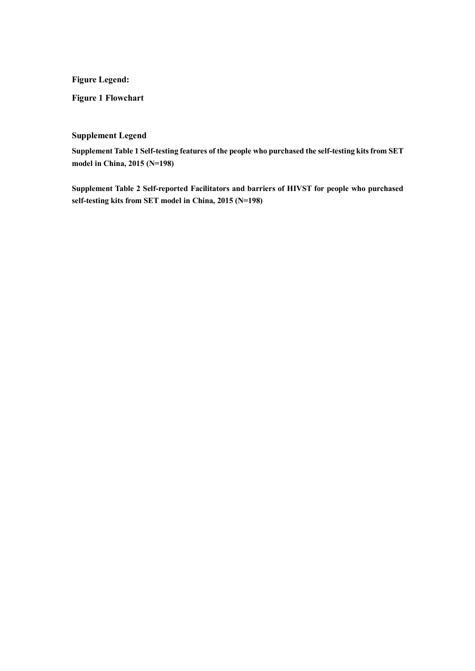**Figure Legend:** 

**Figure 1 Flowchart** 

# **Supplement Legend**

**Supplement Table 1 Self-testing features of the people who purchased the self-testing kits from SET model in China, 2015 (N=198)** 

**Supplement Table 2 Self-reported Facilitators and barriers of HIVST for people who purchased self-testing kits from SET model in China, 2015 (N=198)**